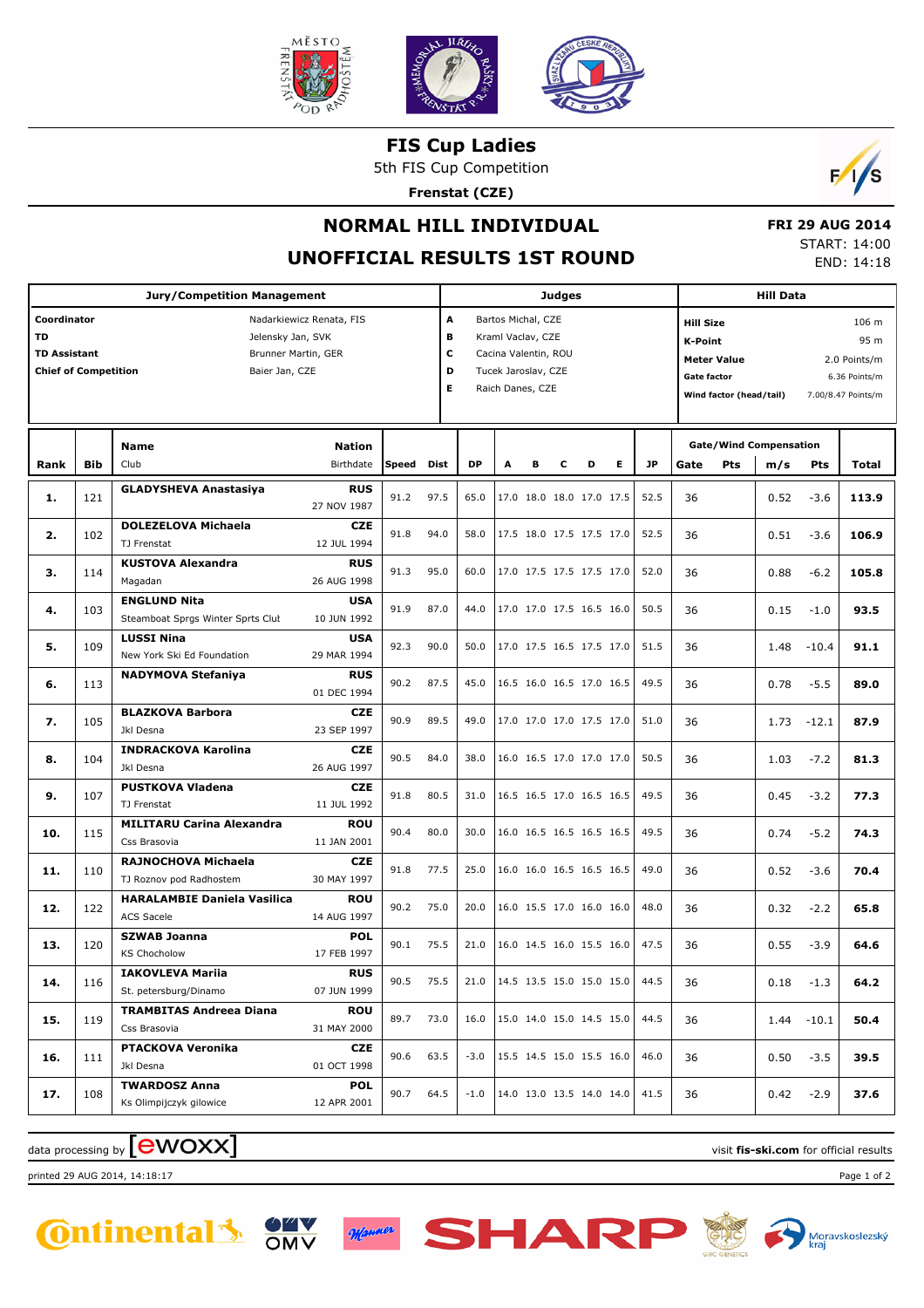

**FIS Cup Ladies**

5th FIS Cup Competition

**Frenstat (CZE)**



# **NORMAL HILL INDIVIDUAL**

#### **UNOFFICIAL RESULTS 1ST ROUND**

|  | <b>FRI 29 AUG 2014</b> |  |  |
|--|------------------------|--|--|
|  | START: 14:00           |  |  |
|  | END: 14:18             |  |  |

| Jury/Competition Management                                                                                                                                       |     |                                                          |                            |           |                                                                                                                                     | <b>Judges</b> |   |   |   |                                                                                                    |      | <b>Hill Data</b> |                                                                      |                                      |               |       |
|-------------------------------------------------------------------------------------------------------------------------------------------------------------------|-----|----------------------------------------------------------|----------------------------|-----------|-------------------------------------------------------------------------------------------------------------------------------------|---------------|---|---|---|----------------------------------------------------------------------------------------------------|------|------------------|----------------------------------------------------------------------|--------------------------------------|---------------|-------|
| Coordinator<br>Nadarkiewicz Renata, FIS<br>TD<br>Jelensky Jan, SVK<br><b>TD Assistant</b><br>Brunner Martin, GER<br><b>Chief of Competition</b><br>Baier Jan, CZE |     |                                                          |                            |           | A<br>Bartos Michal, CZE<br>в<br>Kraml Vaclav, CZE<br>c<br>Cacina Valentin, ROU<br>D<br>Tucek Jaroslav, CZE<br>Е<br>Raich Danes, CZE |               |   |   |   | <b>Hill Size</b><br><b>K-Point</b><br><b>Meter Value</b><br>Gate factor<br>Wind factor (head/tail) |      |                  | 106 m<br>95 m<br>2.0 Points/m<br>6.36 Points/m<br>7.00/8.47 Points/m |                                      |               |       |
| Rank                                                                                                                                                              | Bib | Name<br>Club                                             | <b>Nation</b><br>Birthdate | Speed     | Dist                                                                                                                                | <b>DP</b>     | A | R | c | Е<br>D                                                                                             | JP   | Gate             | <b>Pts</b>                                                           | <b>Gate/Wind Compensation</b><br>m/s | Pts           | Total |
| 1.                                                                                                                                                                | 121 | <b>GLADYSHEVA Anastasiya</b>                             | <b>RUS</b><br>27 NOV 1987  | 91.2      | 97.5                                                                                                                                | 65.0          |   |   |   | 17.0 18.0 18.0 17.0 17.5                                                                           | 52.5 | 36               |                                                                      | 0.52                                 | $-3.6$        | 113.9 |
| 2.                                                                                                                                                                | 102 | <b>DOLEZELOVA Michaela</b><br>TJ Frenstat                | <b>CZE</b><br>12 JUL 1994  | 91.8      | 94.0                                                                                                                                | 58.0          |   |   |   | 17.5 18.0 17.5 17.5 17.0                                                                           | 52.5 | 36               |                                                                      | 0.51                                 | $-3.6$        | 106.9 |
| з.                                                                                                                                                                | 114 | <b>KUSTOVA Alexandra</b><br>Magadan                      | <b>RUS</b><br>26 AUG 1998  | 91.3      | 95.0                                                                                                                                | 60.0          |   |   |   | 17.0 17.5 17.5 17.5 17.0                                                                           | 52.0 | 36               |                                                                      | 0.88                                 | $-6.2$        | 105.8 |
| 4.                                                                                                                                                                | 103 | <b>ENGLUND Nita</b><br>Steamboat Sprgs Winter Sprts Clut | <b>USA</b><br>10 JUN 1992  | 91.9      | 87.0                                                                                                                                | 44.0          |   |   |   | 17.0 17.0 17.5 16.5 16.0                                                                           | 50.5 | 36               |                                                                      | 0.15                                 | $-1.0$        | 93.5  |
| 5.                                                                                                                                                                | 109 | <b>LUSSI Nina</b><br>New York Ski Ed Foundation          | <b>USA</b><br>29 MAR 1994  | 92.3      | 90.0                                                                                                                                | 50.0          |   |   |   | 17.0 17.5 16.5 17.5 17.0                                                                           | 51.5 | 36               |                                                                      | 1.48                                 | $-10.4$       | 91.1  |
| 6.                                                                                                                                                                | 113 | <b>NADYMOVA Stefaniya</b>                                | <b>RUS</b><br>01 DEC 1994  | 90.2      | 87.5                                                                                                                                | 45.0          |   |   |   | 16.5 16.0 16.5 17.0 16.5                                                                           | 49.5 | 36               |                                                                      | 0.78                                 | $-5.5$        | 89.0  |
| 7.                                                                                                                                                                | 105 | <b>BLAZKOVA Barbora</b><br>Jkl Desna                     | <b>CZE</b><br>23 SEP 1997  | 90.9      | 89.5                                                                                                                                | 49.0          |   |   |   | 17.0 17.0 17.0 17.5 17.0                                                                           | 51.0 | 36               |                                                                      | 1.73                                 | $-12.1$       | 87.9  |
| 8.                                                                                                                                                                | 104 | <b>INDRACKOVA Karolina</b><br>Jkl Desna                  | <b>CZE</b><br>26 AUG 1997  | 90.5      | 84.0                                                                                                                                | 38.0          |   |   |   | 16.0 16.5 17.0 17.0 17.0                                                                           | 50.5 | 36               |                                                                      | 1.03                                 | $-7.2$        | 81.3  |
| 9.                                                                                                                                                                | 107 | <b>PUSTKOVA Vladena</b><br>TJ Frenstat                   | <b>CZE</b><br>11 JUL 1992  | 91.8      | 80.5                                                                                                                                | 31.0          |   |   |   | 16.5 16.5 17.0 16.5 16.5                                                                           | 49.5 | 36               |                                                                      | 0.45                                 | $-3.2$        | 77.3  |
| 10.                                                                                                                                                               | 115 | <b>MILITARU Carina Alexandra</b><br>Css Brasovia         | <b>ROU</b><br>11 JAN 2001  | 90.4      | 80.0                                                                                                                                | 30.0          |   |   |   | 16.0 16.5 16.5 16.5 16.5                                                                           | 49.5 | 36               |                                                                      | 0.74                                 | $-5.2$        | 74.3  |
| 11.                                                                                                                                                               | 110 | RAJNOCHOVA Michaela<br>TJ Roznov pod Radhostem           | <b>CZE</b><br>30 MAY 1997  | 91.8      | 77.5                                                                                                                                | 25.0          |   |   |   | 16.0 16.0 16.5 16.5 16.5                                                                           | 49.0 | 36               |                                                                      | 0.52                                 | $-3.6$        | 70.4  |
| 12.                                                                                                                                                               | 122 | <b>HARALAMBIE Daniela Vasilica</b><br><b>ACS Sacele</b>  | <b>ROU</b><br>14 AUG 1997  | 90.2      | 75.0                                                                                                                                | 20.0          |   |   |   | 16.0 15.5 17.0 16.0 16.0                                                                           | 48.0 | 36               |                                                                      | 0.32                                 | $-2.2$        | 65.8  |
| 13.                                                                                                                                                               | 120 | <b>SZWAB Joanna</b><br><b>KS Chocholow</b>               | <b>POL</b><br>17 FEB 1997  | 90.1      | 75.5                                                                                                                                | 21.0          |   |   |   | 16.0 14.5 16.0 15.5 16.0                                                                           | 47.5 | 36               |                                                                      | 0.55                                 | $-3.9$        | 64.6  |
| 14.                                                                                                                                                               | 116 | <b>IAKOVLEVA Mariia</b><br>St. petersburg/Dinamo         | <b>RUS</b><br>07 JUN 1999  | 90.5 75.5 |                                                                                                                                     | 21.0          |   |   |   | 14.5 13.5 15.0 15.0 15.0                                                                           | 44.5 | 36               |                                                                      | 0.18                                 | $-1.3$        | 64.2  |
| 15.                                                                                                                                                               | 119 | <b>TRAMBITAS Andreea Diana</b><br>Css Brasovia           | <b>ROU</b><br>31 MAY 2000  | 89.7      | 73.0                                                                                                                                | 16.0          |   |   |   | 15.0 14.0 15.0 14.5 15.0                                                                           | 44.5 | 36               |                                                                      |                                      | $1.44 - 10.1$ | 50.4  |
| 16.                                                                                                                                                               | 111 | <b>PTACKOVA Veronika</b><br>Jkl Desna                    | CZE<br>01 OCT 1998         | 90.6      | 63.5                                                                                                                                | $-3.0$        |   |   |   | 15.5 14.5 15.0 15.5 16.0                                                                           | 46.0 | 36               |                                                                      | 0.50                                 | $-3.5$        | 39.5  |
| 17.                                                                                                                                                               | 108 | <b>TWARDOSZ Anna</b><br>Ks Olimpijczyk gilowice          | <b>POL</b><br>12 APR 2001  | 90.7      | 64.5                                                                                                                                | $-1.0$        |   |   |   | 14.0 13.0 13.5 14.0 14.0                                                                           | 41.5 | 36               |                                                                      | 0.42                                 | $-2.9$        | 37.6  |

### $\alpha$  data processing by  $\boxed{\text{ewOX}}$

printed 29 AUG 2014, 14:18:17 Page 1 of 2